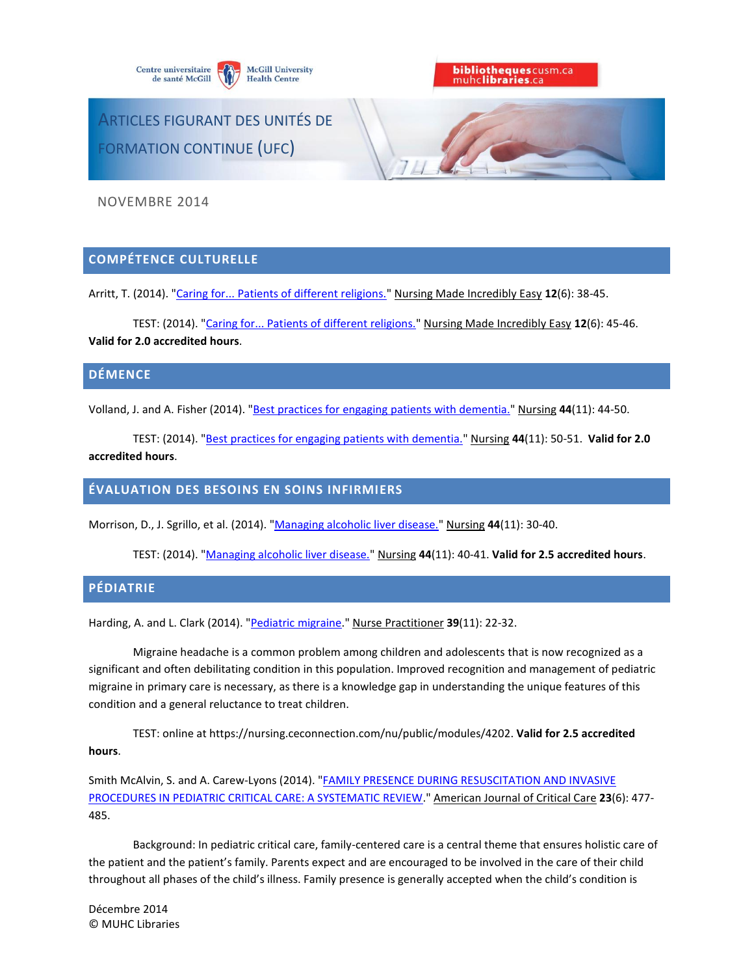



ARTICLES FIGURANT DES UNITÉS DE FORMATION CONTINUE (UFC)

NOVEMBRE 2014

# **COMPÉTENCE CULTURELLE**

Arritt, T. (2014). ["Caring for... Patients of different religions."](http://ovidsp.ovid.com/ovidweb.cgi?T=JS&CSC=Y&NEWS=N&PAGE=fulltext&AN=00152258-201411000-00008&LSLINK=80&D=ovft) Nursing Made Incredibly Easy **12**(6): 38-45.

TEST: (2014). ["Caring for... Patients of different religions."](http://ovidsp.ovid.com/ovidweb.cgi?T=JS&CSC=Y&NEWS=N&PAGE=fulltext&AN=00152258-201411000-00009&LSLINK=80&D=ovft) Nursing Made Incredibly Easy **12**(6): 45-46. **Valid for 2.0 accredited hours**.

### **DÉMENCE**

Volland, J. and A. Fisher (2014). ["Best practices for engaging patients with dementia."](http://ovidsp.ovid.com/ovidweb.cgi?T=JS&CSC=Y&NEWS=N&PAGE=fulltext&AN=00152193-201411000-00013&LSLINK=80&D=ovft) Nursing **44**(11): 44-50.

TEST: (2014). ["Best practices for engaging patients with dementia."](http://ovidsp.ovid.com/ovidweb.cgi?T=JS&CSC=Y&NEWS=N&PAGE=fulltext&AN=00152193-201411000-00014&LSLINK=80&D=ovft) Nursing **44**(11): 50-51. **Valid for 2.0 accredited hours**.

## **ÉVALUATION DES BESOINS EN SOINS INFIRMIERS**

Morrison, D., J. Sgrillo, et al. (2014). ["Managing alcoholic liver disease."](http://ovidsp.ovid.com/ovidweb.cgi?T=JS&CSC=Y&NEWS=N&PAGE=fulltext&AN=00152193-201411000-00010&LSLINK=80&D=ovft) Nursing **44**(11): 30-40.

TEST: (2014). ["Managing alcoholic liver disease."](http://ovidsp.ovid.com/ovidweb.cgi?T=JS&CSC=Y&NEWS=N&PAGE=fulltext&AN=00152193-201411000-00011&LSLINK=80&D=ovft) Nursing **44**(11): 40-41. **Valid for 2.5 accredited hours**.

#### **PÉDIATRIE**

Harding, A. and L. Clark (2014). ["Pediatric migraine.](http://ovidsp.ovid.com/ovidweb.cgi?T=JS&CSC=Y&NEWS=N&PAGE=fulltext&AN=00006205-201411000-00004&LSLINK=80&D=ovft)" Nurse Practitioner **39**(11): 22-32.

Migraine headache is a common problem among children and adolescents that is now recognized as a significant and often debilitating condition in this population. Improved recognition and management of pediatric migraine in primary care is necessary, as there is a knowledge gap in understanding the unique features of this condition and a general reluctance to treat children.

TEST: online at https://nursing.ceconnection.com/nu/public/modules/4202. **Valid for 2.5 accredited hours**.

Smith McAlvin, S. and A. Carew-Lyons (2014). ["FAMILY PRESENCE DURING RESUSCITATION AND INVASIVE](http://search.ebscohost.com/login.aspx?direct=true&db=ccm&AN=2012779087&site=ehost-live)  [PROCEDURES IN PEDIATRIC CRITICAL CARE: A SYSTEMATIC REVIEW.](http://search.ebscohost.com/login.aspx?direct=true&db=ccm&AN=2012779087&site=ehost-live)" American Journal of Critical Care **23**(6): 477- 485.

Background: In pediatric critical care, family-centered care is a central theme that ensures holistic care of the patient and the patient's family. Parents expect and are encouraged to be involved in the care of their child throughout all phases of the child's illness. Family presence is generally accepted when the child's condition is

Décembre 2014 © MUHC Libraries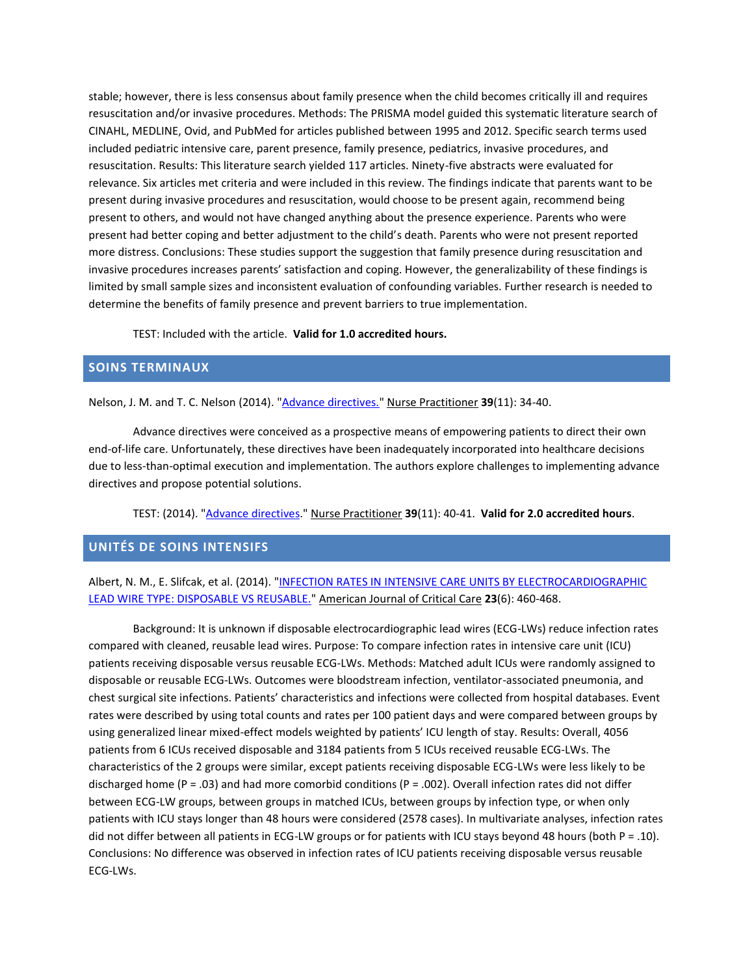stable; however, there is less consensus about family presence when the child becomes critically ill and requires resuscitation and/or invasive procedures. Methods: The PRISMA model guided this systematic literature search of CINAHL, MEDLINE, Ovid, and PubMed for articles published between 1995 and 2012. Specific search terms used included pediatric intensive care, parent presence, family presence, pediatrics, invasive procedures, and resuscitation. Results: This literature search yielded 117 articles. Ninety-five abstracts were evaluated for relevance. Six articles met criteria and were included in this review. The findings indicate that parents want to be present during invasive procedures and resuscitation, would choose to be present again, recommend being present to others, and would not have changed anything about the presence experience. Parents who were present had better coping and better adjustment to the child's death. Parents who were not present reported more distress. Conclusions: These studies support the suggestion that family presence during resuscitation and invasive procedures increases parents' satisfaction and coping. However, the generalizability of these findings is limited by small sample sizes and inconsistent evaluation of confounding variables. Further research is needed to determine the benefits of family presence and prevent barriers to true implementation.

TEST: Included with the article. **Valid for 1.0 accredited hours.**

# **SOINS TERMINAUX**

Nelson, J. M. and T. C. Nelson (2014). ["Advance directives."](http://ovidsp.ovid.com/ovidweb.cgi?T=JS&CSC=Y&NEWS=N&PAGE=fulltext&AN=00006205-201411000-00006&LSLINK=80&D=ovft) Nurse Practitioner **39**(11): 34-40.

Advance directives were conceived as a prospective means of empowering patients to direct their own end-of-life care. Unfortunately, these directives have been inadequately incorporated into healthcare decisions due to less-than-optimal execution and implementation. The authors explore challenges to implementing advance directives and propose potential solutions.

TEST: (2014). ["Advance directives.](http://ovidsp.ovid.com/ovidweb.cgi?T=JS&CSC=Y&NEWS=N&PAGE=fulltext&AN=00006205-201411000-00007&LSLINK=80&D=ovft)" Nurse Practitioner **39**(11): 40-41. **Valid for 2.0 accredited hours**.

### **UNITÉS DE SOINS INTENSIFS**

# Albert, N. M., E. Slifcak, et al. (2014). ["INFECTION RATES IN INTENSIVE CARE UNITS BY ELECTROCARDIOGRAPHIC](http://search.ebscohost.com/login.aspx?direct=true&db=ccm&AN=2012779085&site=ehost-live)  [LEAD WIRE TYPE: DISPOSABLE VS REUSABLE."](http://search.ebscohost.com/login.aspx?direct=true&db=ccm&AN=2012779085&site=ehost-live) American Journal of Critical Care **23**(6): 460-468.

Background: It is unknown if disposable electrocardiographic lead wires (ECG-LWs) reduce infection rates compared with cleaned, reusable lead wires. Purpose: To compare infection rates in intensive care unit (ICU) patients receiving disposable versus reusable ECG-LWs. Methods: Matched adult ICUs were randomly assigned to disposable or reusable ECG-LWs. Outcomes were bloodstream infection, ventilator-associated pneumonia, and chest surgical site infections. Patients' characteristics and infections were collected from hospital databases. Event rates were described by using total counts and rates per 100 patient days and were compared between groups by using generalized linear mixed-effect models weighted by patients' ICU length of stay. Results: Overall, 4056 patients from 6 ICUs received disposable and 3184 patients from 5 ICUs received reusable ECG-LWs. The characteristics of the 2 groups were similar, except patients receiving disposable ECG-LWs were less likely to be discharged home (P = .03) and had more comorbid conditions (P = .002). Overall infection rates did not differ between ECG-LW groups, between groups in matched ICUs, between groups by infection type, or when only patients with ICU stays longer than 48 hours were considered (2578 cases). In multivariate analyses, infection rates did not differ between all patients in ECG-LW groups or for patients with ICU stays beyond 48 hours (both  $P = .10$ ). Conclusions: No difference was observed in infection rates of ICU patients receiving disposable versus reusable ECG-LWs.